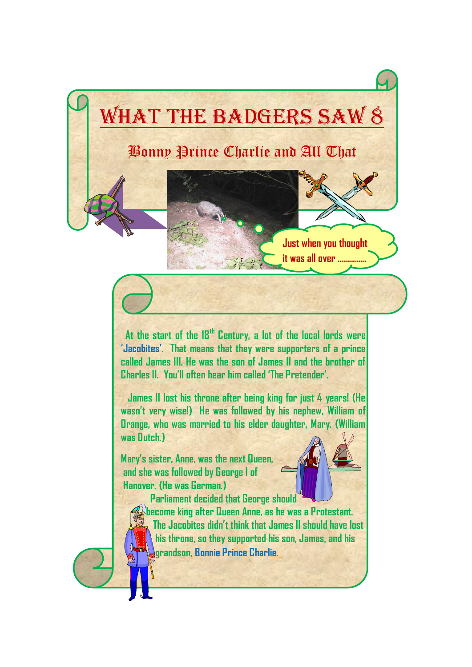## What the Badgers SAW 8

Bonny Prince Charlie and All That

 **At the start of the 18th Century, a lot of the local lords were 'Jacobites'. That means that they were supporters of a prince called James III. He was the son of James II and the brother of Charles II. You'll often hear him called 'The Pretender'.**

 **James II lost his throne after being king for just 4 years! (He wasn't very wise!) He was followed by his nephew, William of Orange, who was married to his elder daughter, Mary. (William was Dutch.)** 

**Mary's sister, Anne, was the next Queen, and she was followed by George I of Hanover. (He was German.)**



**Just when you thought it was all over …………..**

 **Parliament decided that George should become king after Queen Anne, as he was a Protestant. The Jacobites didn't think that James II should have lost his throne, so they supported his son, James, and his grandson, Bonnie Prince Charlie.**